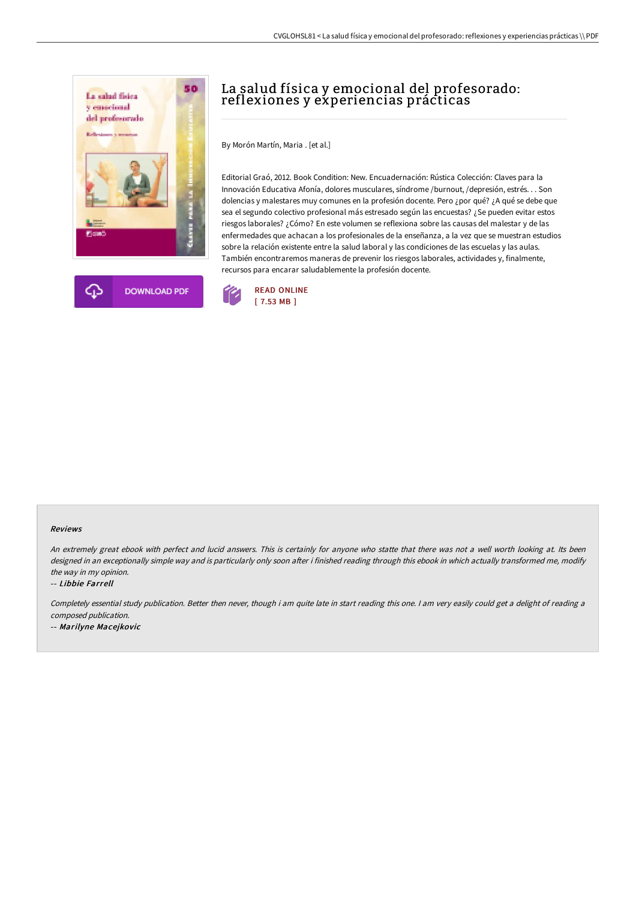



# La salud física y emocional del profesorado: reflexiones y experiencias prácticas

By Morón Martín, Maria . [et al.]

Editorial Graó, 2012. Book Condition: New. Encuadernación: Rústica Colección: Claves para la Innovación Educativa Afonía, dolores musculares, síndrome /burnout, /depresión, estrés. . . Son dolencias y malestares muy comunes en la profesión docente. Pero ¿por qué? ¿A qué se debe que sea el segundo colectivo profesional más estresado según las encuestas? ¿Se pueden evitar estos riesgos laborales? ¿Cómo? En este volumen se reflexiona sobre las causas del malestar y de las enfermedades que achacan a los profesionales de la enseñanza, a la vez que se muestran estudios sobre la relación existente entre la salud laboral y las condiciones de las escuelas y las aulas. También encontraremos maneras de prevenir los riesgos laborales, actividades y, finalmente, recursos para encarar saludablemente la profesión docente.



#### Reviews

An extremely great ebook with perfect and lucid answers. This is certainly for anyone who statte that there was not <sup>a</sup> well worth looking at. Its been designed in an exceptionally simple way and is particularly only soon after i finished reading through this ebook in which actually transformed me, modify the way in my opinion.

-- Libbie Farrell

Completely essential study publication. Better then never, though i am quite late in start reading this one. I am very easily could get a delight of reading a composed publication.

-- Marilyne Macejkovic